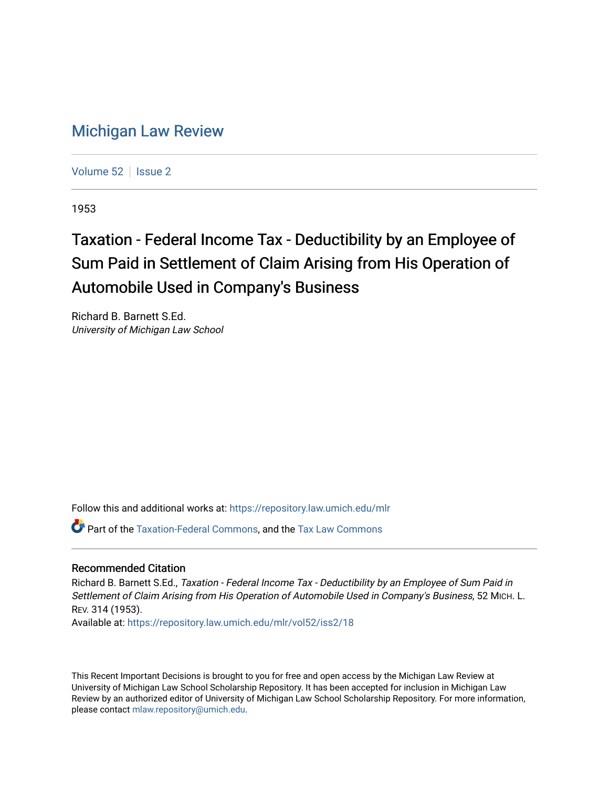## [Michigan Law Review](https://repository.law.umich.edu/mlr)

[Volume 52](https://repository.law.umich.edu/mlr/vol52) | [Issue 2](https://repository.law.umich.edu/mlr/vol52/iss2)

1953

## Taxation - Federal Income Tax - Deductibility by an Employee of Sum Paid in Settlement of Claim Arising from His Operation of Automobile Used in Company's Business

Richard B. Barnett S.Ed. University of Michigan Law School

Follow this and additional works at: [https://repository.law.umich.edu/mlr](https://repository.law.umich.edu/mlr?utm_source=repository.law.umich.edu%2Fmlr%2Fvol52%2Fiss2%2F18&utm_medium=PDF&utm_campaign=PDFCoverPages) 

Part of the [Taxation-Federal Commons](http://network.bepress.com/hgg/discipline/881?utm_source=repository.law.umich.edu%2Fmlr%2Fvol52%2Fiss2%2F18&utm_medium=PDF&utm_campaign=PDFCoverPages), and the [Tax Law Commons](http://network.bepress.com/hgg/discipline/898?utm_source=repository.law.umich.edu%2Fmlr%2Fvol52%2Fiss2%2F18&utm_medium=PDF&utm_campaign=PDFCoverPages) 

## Recommended Citation

Richard B. Barnett S.Ed., Taxation - Federal Income Tax - Deductibility by an Employee of Sum Paid in Settlement of Claim Arising from His Operation of Automobile Used in Company's Business, 52 MICH. L. REV. 314 (1953).

Available at: [https://repository.law.umich.edu/mlr/vol52/iss2/18](https://repository.law.umich.edu/mlr/vol52/iss2/18?utm_source=repository.law.umich.edu%2Fmlr%2Fvol52%2Fiss2%2F18&utm_medium=PDF&utm_campaign=PDFCoverPages) 

This Recent Important Decisions is brought to you for free and open access by the Michigan Law Review at University of Michigan Law School Scholarship Repository. It has been accepted for inclusion in Michigan Law Review by an authorized editor of University of Michigan Law School Scholarship Repository. For more information, please contact [mlaw.repository@umich.edu.](mailto:mlaw.repository@umich.edu)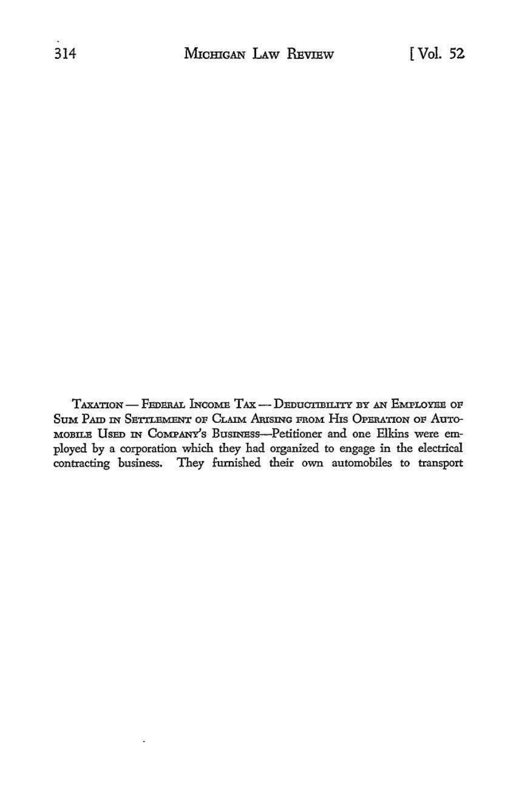TAXATION — FEDERAL INCOME TAX — DEDUCTIBILITY BY AN EMPLOYEE OF SUM PAID IN SETTLEMENT OF CLAIM ARISING FROM HIS OPERATION OF AUTO-MOBILE USED IN COMPANY'S BUSINESS-Petitioner and one Elkins were employed by a corporation which they had organized to engage in the electrical contracting business. They furnished their own automobiles to transport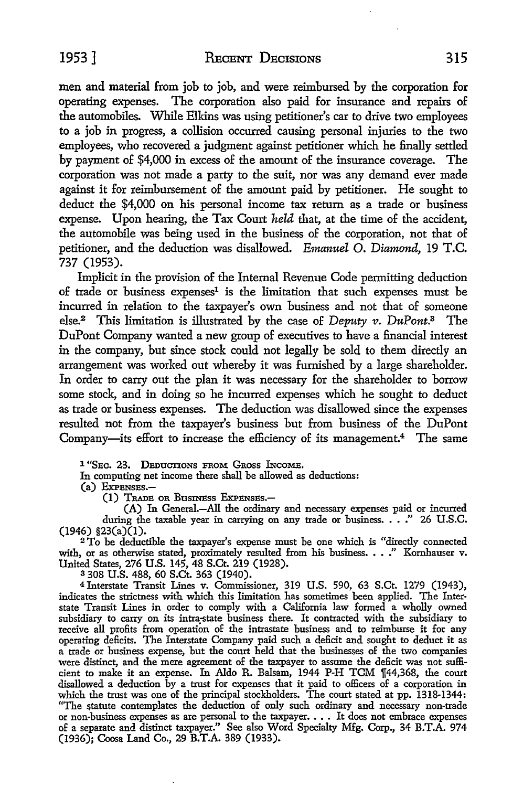men and material from job to job, and were reimbursed by the corporation for operating expenses. The corporation also paid for insurance and repairs of the automobiles. While Elkins was using petitioner's car to drive two employees to a job in progress, a collision occurred causing personal injuries to the two employees, who recovered a judgment against petitioner which he finally settled by payment of \$4,000 in excess of the amount of the insurance coverage. The corporation was not made a party to the suit, nor was any demand ever made against it for reimbursement of the amount paid by petitioner. He sought to deduct the \$4,000 on his personal income tax return as a trade or business expense. Upon hearing, the Tax Court *held* that, at the time of the accident, the automobile was being used in the business of the corporation, not that of petitioner, and the deduction was disallowed. *Emanuel* 0. *Diamond,* 19 T.C. 737 (1953).

Implicit in the provision of the Internal Revenue Code permitting deduction of trade or business expenses<sup>1</sup> is the limitation that such expenses must be incurred in relation to the taxpayer's own business and not that of someone else.<sup>2</sup> This limitation is illustrated by the case of *Deputy v. DuPont.*<sup>3</sup> The DuPont Company wanted a new group of executives to have a financial interest in the company, but since stock could not legally be sold to them directly an arrangement was worked out whereby it was furnished by a large shareholder. In order to carry out the plan it was necessary for the shareholder to borrow some stock, and in doing so he incurred expenses which he sought to deduct as trade or business expenses. The deduction was disallowed since the expenses resulted not from the taxpayer's business but from business of the DuPont Company-its effort to increase the efficiency of its management.<sup>4</sup> The same

1 "Sec. 23. Deductions from Gross Income.

In computing net income there shall be allowed as deductions:

(a) ExPENSES.-

(1) TRADE OR BusINEss ExPENsEs.-

(A) In General.-All the ordinary and necessary expenses paid or incurred during the taxable year in carrying on any trade or business. . . . " 26 U.S.C.  $(1946)$  §23(a)(1).

<sup>2</sup>To be deductible the taxpayer's expense must be one which is "directly connected with, or as otherwise stated, proximately resulted from his business. . . ." Kornhauser v. United States, 276 U.S. 145, 48 S.Ct. 219 (1928).

s 308 U.S. 488, 60 S.Ct. 363 (1940).

<sup>4</sup>Jnterstate Transit Lines v. Commissioner, 319 U.S. 590, 63 S.Ct. 1279 (1943), indicates the strictness with which this limitation has sometimes been applied. The Inter• state Transit Lines in order to comply with a California law formed a wholly owned subsidiary to carry on its intra.-state business there. It contracted with the subsidiary to receive all profits from operation of the intrastate business and to reimburse it for any operating deficits. The Interstate Company paid such a deficit and sought to deduct it as a trade or business expense, but the court held that the businesses of the two companies were distinct, and the mere agreement of the taxpayer to assume the deficit was not sufficient to make it an expense. In Aldo R. Balsam, 1944 P-H TCM 1[44,368, the court disallowed a deduction by a trust for expenses that it paid to officers of a corporation in which the trust was one of the principal stockholders. The court stated at pp. 1318-1344: "The statute contemplates the deduction of only such ordinary and necessary non-trade or non-business expenses as are personal to the taxpayer. • • • It does not embrace expenses of a separate and distinct taxpayer." See also Word Specialty Mfg. Corp., 34 B.T.A. 974 (1936); Coosa Land Co., 29 **B.T.A.** 389 (1933).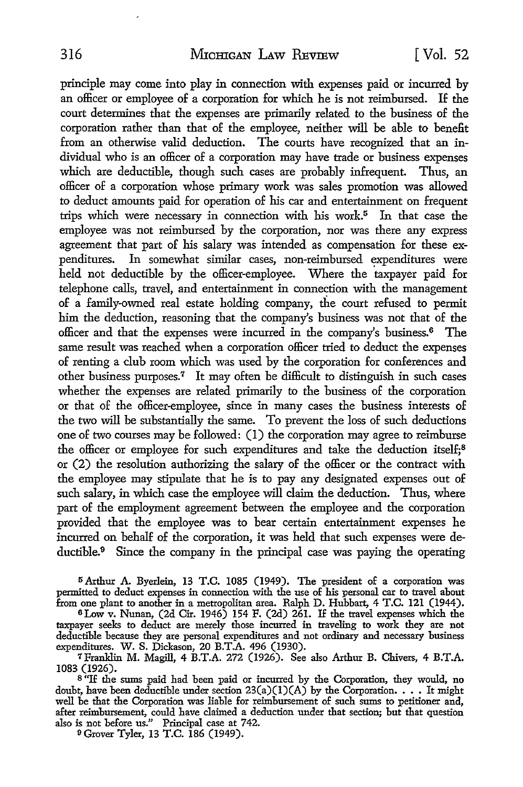principle may come into play in connection with expenses paid or incurred by an officer or employee of a corporation for which he is not reimbursed. If the court determines that the expenses are primarily related to the business of the corporation rather than that of the employee, neither will be able to benefit from an otherwise valid deduction. The courts have recognized that an individual who is an officer of a corporation may have trade or business expenses which are deductible, though such cases are probably infrequent. Thus, an officer of a corporation whose primary work was sales promotion was allowed to deduct amounts paid for operation of his car and entertainment on frequent trips which were necessary in connection with his work.<sup>5</sup> In that case the employee was not reimbursed by the corporation, nor was there any express agreement that part of his salary was intended as compensation for these expenditures. In somewhat similar cases, non-reimbursed expenditures were held not deductible by the officer-employee. Where the taxpayer paid for telephone calls, travel, and entertainment in connection with the management of a family-owned real estate holding company, the court refused to permit him the deduction, reasoning that the company's business was not that of the officer and that the expenses were incurred in the company's business.6 The same result was reached when a corporation officer tried to deduct the expenses of renting a club room which was used by the corporation for conferences and other business purposes.<sup>7</sup> It may often be difficult to distinguish in such cases whether the expenses are related primarily to the business of the corporation or that of the officer-employee, since in many cases the business interests of the two will be substantially the same. To prevent the loss of such deductions one of two courses may be followed: (I) the corporation may agree to reimburse the officer or employee for such expenditures and take the deduction itself;<sup>8</sup> or (2) the resolution authorizing the salary of the officer or the contract with the employee may stipulate that he is to pay any designated expenses out of such salary, in which case the employee will claim the deduction. Thus, where part of the employment agreement between the employee and the corporation provided that the employee was to bear certain entertainment expenses he incurred on behalf of the corporation, it was held that such expenses were deductible.<sup>9</sup> Since the company in the principal case was paying the operating

<sup>5</sup>Arthur A. Byerlein, 13 T.C. 1085 (1949). The president of a corporation was permitted to deduct expenses in connection with the use of his personal car to travel about from one plant to another in a metropolitan area. Ralph D. Hubbart, 4 T.C. 121 (1944). 6Low v. Nunan, (2d Cir. 1946) 154 F. (2d) 261. If the travel expenses which the

taxpayer seeks to deduct are merely those incurred in traveling to work they are not deductible because they are personal expenditures and not ordinary and necessary business expenditures. W. S. Dickason, 20 B.T.A. 496 (1930).

<sup>7</sup>Franklin M. Magill, 4 B.T.A. 272 (1926). See also Arthur B. Chivers, 4 B.T.A. 1083 (1926).

 $8$ <sup>T</sup>If the sums paid had been paid or incurred by the Corporation, they would, no doubt, have been deductible under section 23(a)(1)(A) by the Corporation. . . . It might well be that the Corporation was liable for reimbursement of such sums to petitioner and, after reimbursement, could have claimed a deduction under that section; but that question also is not before us." Principal case at 742.

<sup>9</sup> Grover Tyler, 13 T.C. 186 (1949).